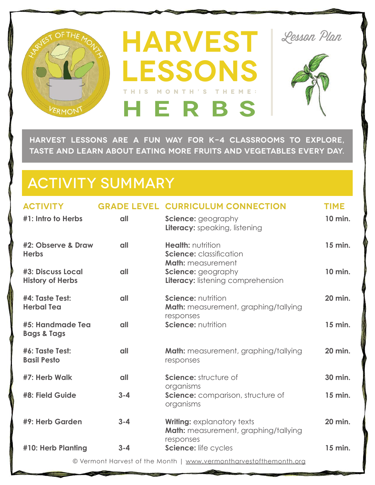

**HARVEST LESSONS ARE A FUN WAY FOR K-4 CLASSROOMS TO EXPLORE, TASTE AND LEARN ABOUT EATING MORE FRUITS AND VEGETABLES EVERY DAY.** 

# ACTIVITY SUMMARY

| <b>ACTIVITY</b><br>#1: Intro to Herbs                             | all     | <b>GRADE LEVEL CURRICULUM CONNECTION</b><br><b>Science:</b> geography            | <b>TIME</b><br>10 min. |
|-------------------------------------------------------------------|---------|----------------------------------------------------------------------------------|------------------------|
| #2: Observe & Draw                                                | all     | <b>Literacy:</b> speaking, listening<br><b>Health: nutrition</b>                 | 15 min.                |
| <b>Herbs</b>                                                      |         | <b>Science:</b> classification<br><b>Math:</b> measurement                       |                        |
| <b>#3: Discuss Local</b><br><b>History of Herbs</b>               | all     | Science: geography<br>Literacy: listening comprehension                          | 10 min.                |
| #4: Taste Test:<br><b>Herbal Tea</b>                              | all     | <b>Science: nutrition</b><br><b>Math:</b> measurement, graphing/tallying         | 20 min.                |
| #5: Handmade Tea<br><b>Bags &amp; Tags</b>                        | all     | responses<br>Science: nutrition                                                  | 15 min.                |
| #6: Taste Test:<br><b>Basil Pesto</b>                             | all     | <b>Math:</b> measurement, graphing/tallying<br>responses                         | 20 min.                |
| #7: Herb Walk                                                     | all     | Science: structure of<br>organisms                                               | 30 min.                |
| #8: Field Guide                                                   | $3 - 4$ | Science: comparison, structure of<br>organisms                                   | 15 min.                |
| #9: Herb Garden                                                   | $3 - 4$ | <b>Writing:</b> explanatory texts<br><b>Math:</b> measurement, graphing/tallying | 20 min.                |
| #10: Herb Planting                                                | $3 - 4$ | responses<br>Science: life cycles                                                | 15 min.                |
| © Vermont Harvest of the Month   www.vermontharvestofthemonth.org |         |                                                                                  |                        |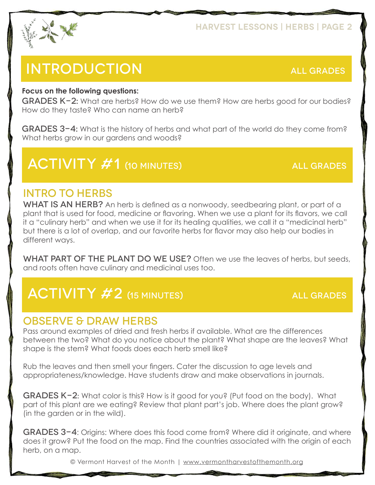

# INTRODUCTION ALL GRADES

#### **Focus on the following questions:**

GRADES K-2**:** What are herbs? How do we use them? How are herbs good for our bodies? How do they taste? Who can name an herb?

GRADES 3-4**:** What is the history of herbs and what part of the world do they come from? What herbs grow in our gardens and woods?

# ACTIVITY #1 (10 MINUTES) ALL GRADES

### INTRO TO HERBS

WHAT IS AN HERB? An herb is defined as a nonwoody, seedbearing plant, or part of a plant that is used for food, medicine or flavoring. When we use a plant for its flavors, we call it a "culinary herb" and when we use it for its healing qualities, we call it a "medicinal herb" but there is a lot of overlap, and our favorite herbs for flavor may also help our bodies in different ways.

WHAT PART OF THE PLANT DO WE USE? Often we use the leaves of herbs, but seeds, and roots often have culinary and medicinal uses too.

# ACTIVITY #2 (15 MINUTES) ALL GRADES

### OBSERVE & DRAW HERBS

Pass around examples of dried and fresh herbs if available. What are the differences between the two? What do you notice about the plant? What shape are the leaves? What shape is the stem? What foods does each herb smell like?

Rub the leaves and then smell your fingers. Cater the discussion to age levels and appropriateness/knowledge. Have students draw and make observations in journals.

GRADES K-2: What color is this? How is it good for you? (Put food on the body). What part of this plant are we eating? Review that plant part's job. Where does the plant grow? (in the garden or in the wild).

GRADES 3-4: Origins: Where does this food come from? Where did it originate, and where does it grow? Put the food on the map. Find the countries associated with the origin of each herb, on a map.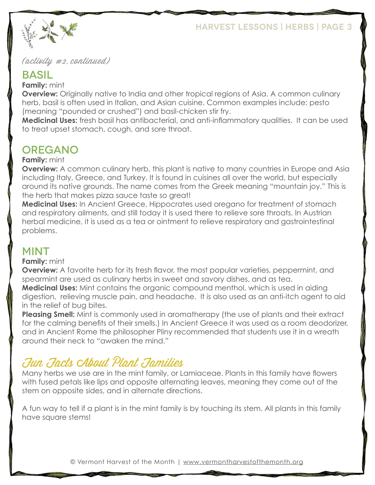

#### (activity #2, continued)

#### BASIL

**Family:** mint

**Overview:** Originally native to India and other tropical regions of Asia. A common culinary herb, basil is often used in Italian, and Asian cuisine. Common examples include: pesto (meaning "pounded or crushed") and basil-chicken stir fry.

**Medicinal Uses:** fresh basil has antibacterial, and anti-inflammatory qualities. It can be used to treat upset stomach, cough, and sore throat.

## OREGANO

#### **Family:** mint

**Overview:** A common culinary herb, this plant is native to many countries in Europe and Asia including Italy, Greece, and Turkey. It is found in cuisines all over the world, but especially around its native grounds. The name comes from the Greek meaning "mountain joy." This is the herb that makes pizza sauce taste so great!

**Medicinal Uses:** In Ancient Greece, Hippocrates used oregano for treatment of stomach and respiratory ailments, and still today it is used there to relieve sore throats. In Austrian herbal medicine, it is used as a tea or ointment to relieve respiratory and gastrointestinal problems.

#### MINT

#### **Family:** mint

**Overview:** A favorite herb for its fresh flavor, the most popular varieties, peppermint, and spearmint are used as culinary herbs in sweet and savory dishes, and as tea. **Medicinal Uses:** Mint contains the organic compound menthol, which is used in aiding

digestion, relieving muscle pain, and headache. It is also used as an anti-itch agent to aid in the relief of bug bites.

**Pleasing Smell:** Mint is commonly used in aromatherapy (the use of plants and their extract for the calming benefits of their smells.) In Ancient Greece it was used as a room deodorizer, and in Ancient Rome the philosopher Pliny recommended that students use it in a wreath around their neck to "awaken the mind."

## Fun Facts About Plant Families

Many herbs we use are in the mint family, or Lamiaceae. Plants in this family have flowers with fused petals like lips and opposite alternating leaves, meaning they come out of the stem on opposite sides, and in alternate directions.

A fun way to tell if a plant is in the mint family is by touching its stem. All plants in this family have square stems!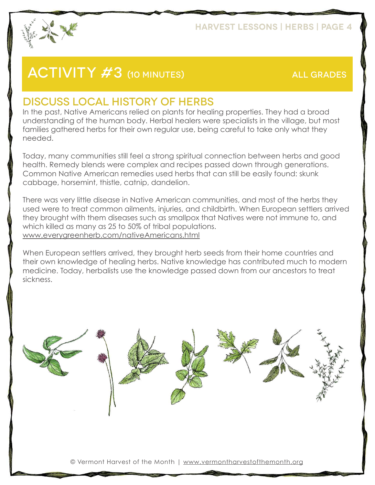

# ACTIVITY #3 (10 MINUTES) ALL GRADES

### DISCUSS LOCAL HISTORY OF HERBS

In the past, Native Americans relied on plants for healing properties. They had a broad understanding of the human body. Herbal healers were specialists in the village, but most families gathered herbs for their own regular use, being careful to take only what they needed.

Today, many communities still feel a strong spiritual connection between herbs and good health. Remedy blends were complex and recipes passed down through generations. Common Native American remedies used herbs that can still be easily found: skunk cabbage, horsemint, thistle, catnip, dandelion.

There was very little disease in Native American communities, and most of the herbs they used were to treat common ailments, injuries, and childbirth. When European settlers arrived they brought with them diseases such as smallpox that Natives were not immune to, and which killed as many as 25 to 50% of tribal populations. <www.everygreenherb.com/nativeAmericans.html>

When European settlers arrived, they brought herb seeds from their home countries and their own knowledge of healing herbs. Native knowledge has contributed much to modern medicine. Today, herbalists use the knowledge passed down from our ancestors to treat sickness.

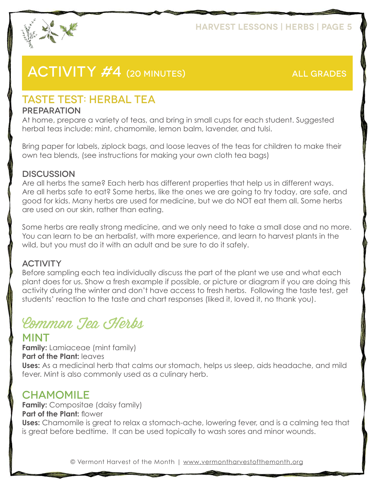

## ACTIVITY #4 (20 MINUTES) ALL GRADES

## TASTE TEST: HERBAL TEA

#### PREPARATION

At home, prepare a variety of teas, and bring in small cups for each student. Suggested herbal teas include: mint, chamomile, lemon balm, lavender, and tulsi.

Bring paper for labels, ziplock bags, and loose leaves of the teas for children to make their own tea blends, (see instructions for making your own cloth tea bags)

#### **DISCUSSION**

Are all herbs the same? Each herb has different properties that help us in different ways. Are all herbs safe to eat? Some herbs, like the ones we are going to try today, are safe, and good for kids. Many herbs are used for medicine, but we do NOT eat them all. Some herbs are used on our skin, rather than eating.

Some herbs are really strong medicine, and we only need to take a small dose and no more. You can learn to be an herbalist, with more experience, and learn to harvest plants in the wild, but you must do it with an adult and be sure to do it safely.

#### **ACTIVITY**

Before sampling each tea individually discuss the part of the plant we use and what each plant does for us. Show a fresh example if possible, or picture or diagram if you are doing this activity during the winter and don't have access to fresh herbs. Following the taste test, get students' reaction to the taste and chart responses (liked it, loved it, no thank you).

# Common Tea Herbs

#### MINT

**Family:** Lamiaceae (mint family) **Part of the Plant:** leaves **Uses:** As a medicinal herb that calms our stomach, helps us sleep, aids headache, and mild fever. Mint is also commonly used as a culinary herb.

### **CHAMOMILE**

**Family:** Compositae (daisy family) **Part of the Plant: flower Uses:** Chamomile is great to relax a stomach-ache, lowering fever, and is a calming tea that is great before bedtime. It can be used topically to wash sores and minor wounds.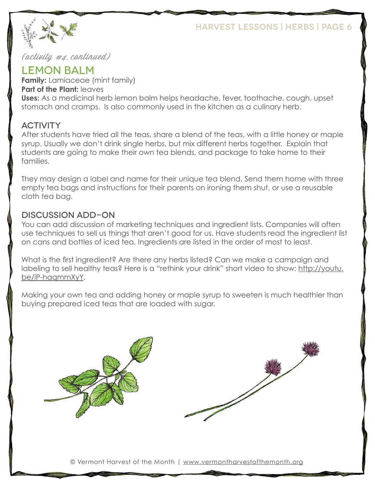

#### (activity #4, continued)

#### LEMON BALM

**Family:** Lamiaceae (mint family) **Part of the Plant: leaves Uses:** As a medicinal herb lemon balm helps headache, fever, toothache, cough, upset stomach and cramps. Is also commonly used in the kitchen as a culinary herb.

#### **ACTIVITY**

After students have tried all the teas, share a blend of the teas, with a little honey or maple syrup. Usually we don't drink single herbs, but mix different herbs together. Explain that students are going to make their own tea blends, and package to take home to their families.

They may design a label and name for their unique tea blend. Send them home with three empty tea bags and instructions for their parents on ironing them shut, or use a reusable cloth tea bag.

#### DISCUSSION ADD-ON

You can add discussion of marketing techniques and ingredient lists. Companies will often use techniques to sell us things that aren't good for us. Have students read the ingredient list on cans and bottles of iced tea. Ingredients are listed in the order of most to least.

What is the first ingredient? Are there any herbs listed? Can we make a campaign and labeling to sell healthy teas? Here is a "rethink your drink" short video to show: http://youtu. be/iP-haqmmXyY.

Making your own tea and adding honey or maple syrup to sweeten is much healthier than buying prepared iced teas that are loaded with sugar.

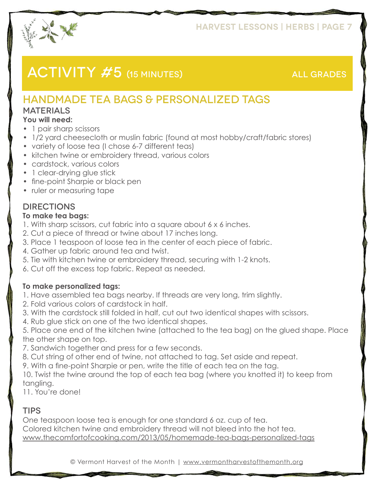

## ACTIVITY #5 (15 MINUTES) ALL GRADES

## HANDMADE TEA BAGS & PERSONALIZED TAGS

#### **MATERIALS**

#### **You will need:**

- 1 pair sharp scissors
- 1/2 yard cheesecloth or muslin fabric (found at most hobby/craft/fabric stores)
- variety of loose tea (I chose 6-7 different teas)
- kitchen twine or embroidery thread, various colors
- cardstock, various colors
- 1 clear-drying glue stick
- fine-point Sharpie or black pen
- ruler or measuring tape

#### **DIRECTIONS**

#### **To make tea bags:**

- 1. With sharp scissors, cut fabric into a square about 6 x 6 inches.
- 2. Cut a piece of thread or twine about 17 inches long.
- 3. Place 1 teaspoon of loose tea in the center of each piece of fabric.
- 4. Gather up fabric around tea and twist.
- 5. Tie with kitchen twine or embroidery thread, securing with 1-2 knots.
- 6. Cut off the excess top fabric. Repeat as needed.

#### **To make personalized tags:**

- 1. Have assembled tea bags nearby. If threads are very long, trim slightly.
- 2. Fold various colors of cardstock in half.
- 3. With the cardstock still folded in half, cut out two identical shapes with scissors.
- 4. Rub glue stick on one of the two identical shapes.

5. Place one end of the kitchen twine (attached to the tea bag) on the glued shape. Place the other shape on top.

- 7. Sandwich together and press for a few seconds.
- 8. Cut string of other end of twine, not attached to tag. Set aside and repeat.
- 9. With a fine-point Sharpie or pen, write the title of each tea on the tag.

10. Twist the twine around the top of each tea bag (where you knotted it) to keep from tangling.

11. You're done!

#### **TIPS**

One teaspoon loose tea is enough for one standard 6 oz. cup of tea. Colored kitchen twine and embroidery thread will not bleed into the hot tea. <www.thecomfortofcooking.com/2013/05/homemade-tea-bags-personalized-tags>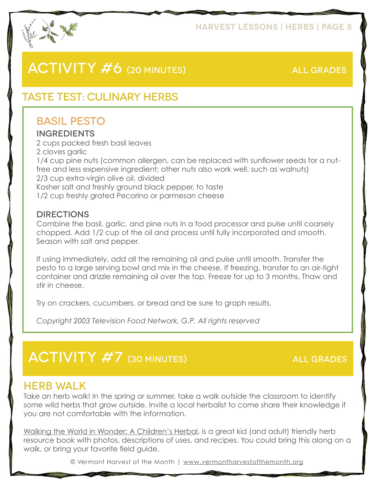

## ACTIVITY #6 (20 MINUTES) ALL GRADES

## TASTE TEST: CULINARY HERBS

## BASIL PESTO

#### INGREDIENTS

2 cups packed fresh basil leaves 2 cloves garlic 1/4 cup pine nuts (common allergen, can be replaced with sunflower seeds for a nutfree and less expensive ingredient; other nuts also work well, such as walnuts) 2/3 cup extra-virgin olive oil, divided Kosher salt and freshly ground black pepper, to taste 1/2 cup freshly grated Pecorino or parmesan cheese

#### DIRECTIONS

Combine the basil, garlic, and pine nuts in a food processor and pulse until coarsely chopped. Add 1/2 cup of the oil and process until fully incorporated and smooth. Season with salt and pepper.

If using immediately, add all the remaining oil and pulse until smooth. Transfer the pesto to a large serving bowl and mix in the cheese. If freezing, transfer to an air-tight container and drizzle remaining oil over the top. Freeze for up to 3 months. Thaw and stir in cheese.

Try on crackers, cucumbers, or bread and be sure to graph results.

*Copyright 2003 Television Food Network, G.P. All rights reserved*

## ACTIVITY #7 (30 MINUTES) ALL GRADES

#### HERB WALK

Take an herb walk! In the spring or summer, take a walk outside the classroom to identify some wild herbs that grow outside. Invite a local herbalist to come share their knowledge if you are not comfortable with the information.

Walking the World in Wonder: A Children's Herbal, is a great kid (and adult) friendly herb resource book with photos, descriptions of uses, and recipes. You could bring this along on a walk, or bring your favorite field guide.